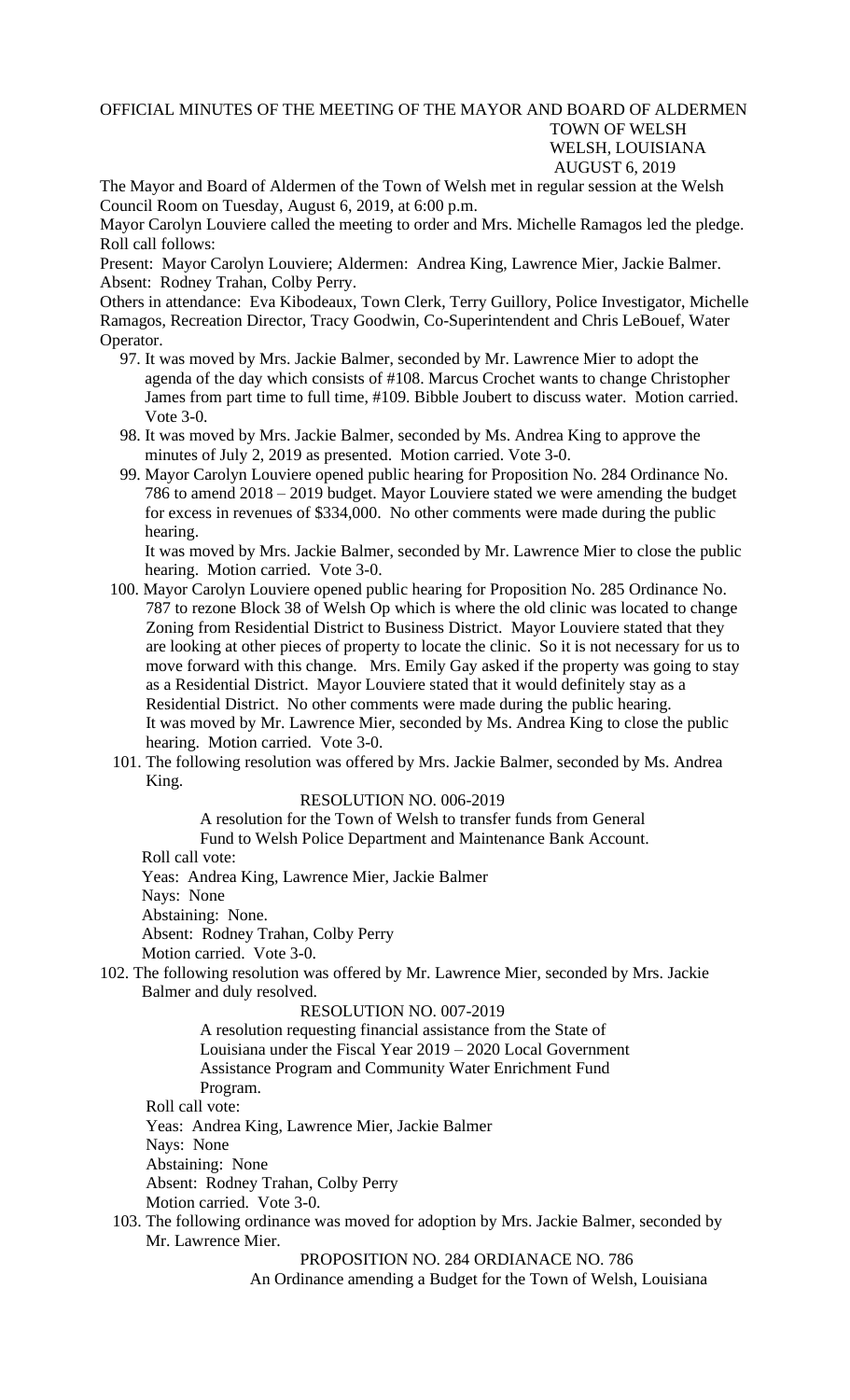## OFFICIAL MINUTES OF THE MEETING OF THE MAYOR AND BOARD OF ALDERMEN TOWN OF WELSH WELSH, LOUISIANA AUGUST 6, 2019

The Mayor and Board of Aldermen of the Town of Welsh met in regular session at the Welsh Council Room on Tuesday, August 6, 2019, at 6:00 p.m.

Mayor Carolyn Louviere called the meeting to order and Mrs. Michelle Ramagos led the pledge. Roll call follows:

Present: Mayor Carolyn Louviere; Aldermen: Andrea King, Lawrence Mier, Jackie Balmer. Absent: Rodney Trahan, Colby Perry.

Others in attendance: Eva Kibodeaux, Town Clerk, Terry Guillory, Police Investigator, Michelle Ramagos, Recreation Director, Tracy Goodwin, Co-Superintendent and Chris LeBouef, Water Operator.

- 97. It was moved by Mrs. Jackie Balmer, seconded by Mr. Lawrence Mier to adopt the agenda of the day which consists of #108. Marcus Crochet wants to change Christopher James from part time to full time, #109. Bibble Joubert to discuss water. Motion carried. Vote 3-0.
- 98. It was moved by Mrs. Jackie Balmer, seconded by Ms. Andrea King to approve the minutes of July 2, 2019 as presented. Motion carried. Vote 3-0.
- 99. Mayor Carolyn Louviere opened public hearing for Proposition No. 284 Ordinance No. 786 to amend 2018 – 2019 budget. Mayor Louviere stated we were amending the budget for excess in revenues of \$334,000. No other comments were made during the public hearing.

 It was moved by Mrs. Jackie Balmer, seconded by Mr. Lawrence Mier to close the public hearing. Motion carried. Vote 3-0.

- 100. Mayor Carolyn Louviere opened public hearing for Proposition No. 285 Ordinance No. 787 to rezone Block 38 of Welsh Op which is where the old clinic was located to change Zoning from Residential District to Business District. Mayor Louviere stated that they are looking at other pieces of property to locate the clinic. So it is not necessary for us to move forward with this change. Mrs. Emily Gay asked if the property was going to stay as a Residential District. Mayor Louviere stated that it would definitely stay as a Residential District. No other comments were made during the public hearing. It was moved by Mr. Lawrence Mier, seconded by Ms. Andrea King to close the public hearing. Motion carried. Vote 3-0.
- 101. The following resolution was offered by Mrs. Jackie Balmer, seconded by Ms. Andrea King.

## RESOLUTION NO. 006-2019

A resolution for the Town of Welsh to transfer funds from General Fund to Welsh Police Department and Maintenance Bank Account.

Roll call vote:

Yeas: Andrea King, Lawrence Mier, Jackie Balmer

Nays: None

Abstaining: None.

Absent: Rodney Trahan, Colby Perry

Motion carried. Vote 3-0.

102. The following resolution was offered by Mr. Lawrence Mier, seconded by Mrs. Jackie Balmer and duly resolved.

## RESOLUTION NO. 007-2019

A resolution requesting financial assistance from the State of Louisiana under the Fiscal Year 2019 – 2020 Local Government Assistance Program and Community Water Enrichment Fund Program.

Roll call vote:

Yeas: Andrea King, Lawrence Mier, Jackie Balmer

Nays: None

Abstaining: None

Absent: Rodney Trahan, Colby Perry

Motion carried. Vote 3-0.

 103. The following ordinance was moved for adoption by Mrs. Jackie Balmer, seconded by Mr. Lawrence Mier.

PROPOSITION NO. 284 ORDIANACE NO. 786

An Ordinance amending a Budget for the Town of Welsh, Louisiana